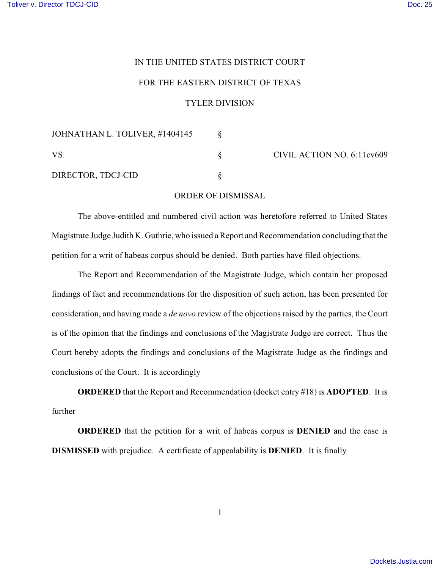## IN THE UNITED STATES DISTRICT COURT

## FOR THE EASTERN DISTRICT OF TEXAS

## TYLER DIVISION

| JOHNATHAN L. TOLIVER, #1404145 |                            |
|--------------------------------|----------------------------|
| <b>VS</b>                      | CIVIL ACTION NO. 6:11cv609 |
| DIRECTOR, TDCJ-CID             |                            |

## ORDER OF DISMISSAL

The above-entitled and numbered civil action was heretofore referred to United States Magistrate Judge Judith K. Guthrie, who issued a Report and Recommendation concluding that the petition for a writ of habeas corpus should be denied. Both parties have filed objections.

The Report and Recommendation of the Magistrate Judge, which contain her proposed findings of fact and recommendations for the disposition of such action, has been presented for consideration, and having made a *de novo* review of the objections raised by the parties, the Court is of the opinion that the findings and conclusions of the Magistrate Judge are correct. Thus the Court hereby adopts the findings and conclusions of the Magistrate Judge as the findings and conclusions of the Court. It is accordingly

**ORDERED** that the Report and Recommendation (docket entry #18) is **ADOPTED**. It is further

**ORDERED** that the petition for a writ of habeas corpus is **DENIED** and the case is **DISMISSED** with prejudice. A certificate of appealability is **DENIED**. It is finally